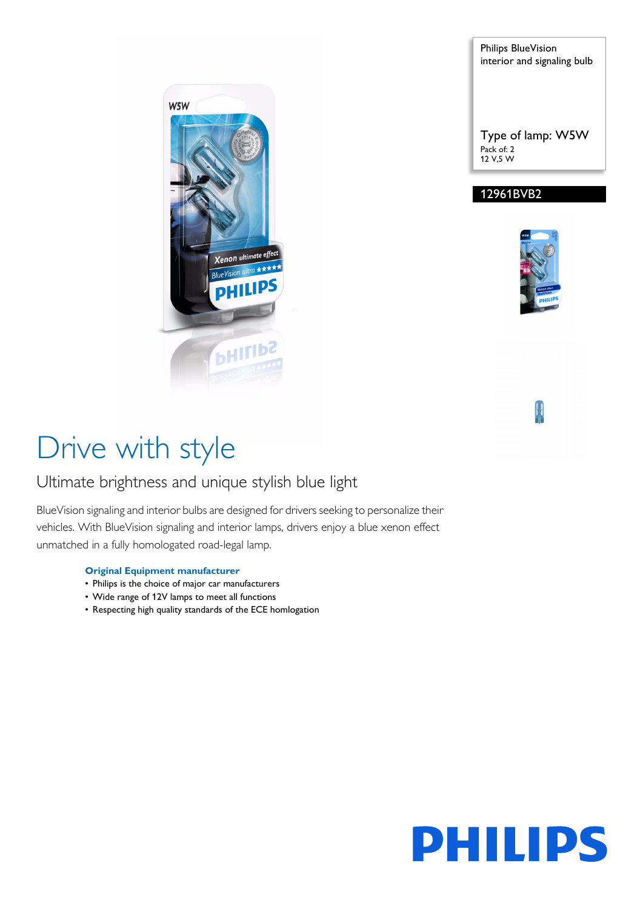

Philips BlueVision interior and signaling bulb

Type of lamp: W5W Pack of: 2 12 V,5 W

### 12961BVB2



# Drive with style

### Ultimate brightness and unique stylish blue light

BlueVision signaling and interior bulbs are designed for drivers seeking to personalize their vehicles. With BlueVision signaling and interior lamps, drivers enjoy a blue xenon effect unmatched in a fully homologated road-legal lamp.

#### **Original Equipment manufacturer**

- Philips is the choice of major car manufacturers
- Wide range of 12V lamps to meet all functions
- Respecting high quality standards of the ECE homlogation